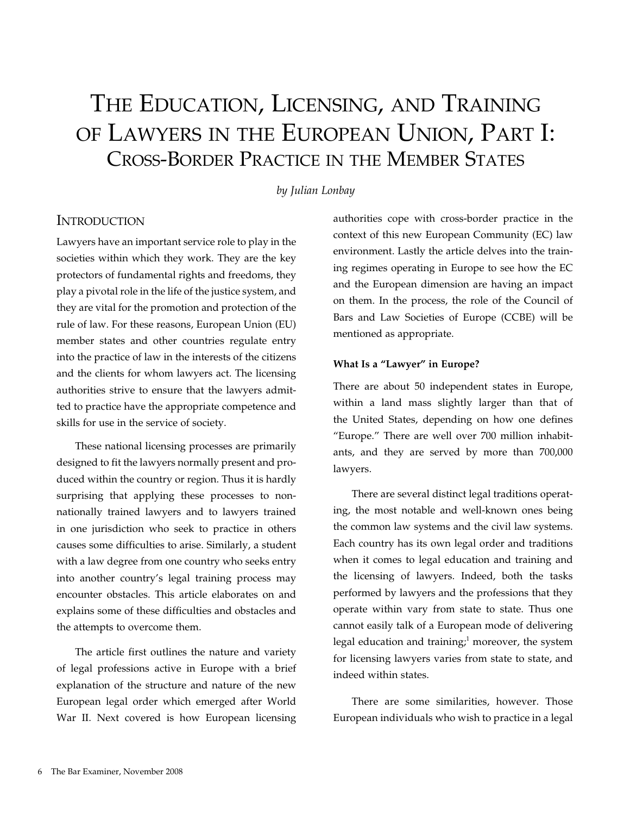# The Education, Licensing, and Training of Lawyers in the European Union, Part I: Cross-Border Practice in the Member States

## *by Julian Lonbay*

# **INTRODUCTION**

Lawyers have an important service role to play in the societies within which they work. They are the key protectors of fundamental rights and freedoms, they play a pivotal role in the life of the justice system, and they are vital for the promotion and protection of the rule of law. For these reasons, European Union (EU) member states and other countries regulate entry into the practice of law in the interests of the citizens and the clients for whom lawyers act. The licensing authorities strive to ensure that the lawyers admitted to practice have the appropriate competence and skills for use in the service of society.

These national licensing processes are primarily designed to fit the lawyers normally present and produced within the country or region. Thus it is hardly surprising that applying these processes to nonnationally trained lawyers and to lawyers trained in one jurisdiction who seek to practice in others causes some difficulties to arise. Similarly, a student with a law degree from one country who seeks entry into another country's legal training process may encounter obstacles. This article elaborates on and explains some of these difficulties and obstacles and the attempts to overcome them.

The article first outlines the nature and variety of legal professions active in Europe with a brief explanation of the structure and nature of the new European legal order which emerged after World War II. Next covered is how European licensing authorities cope with cross-border practice in the context of this new European Community (EC) law environment. Lastly the article delves into the training regimes operating in Europe to see how the EC and the European dimension are having an impact on them. In the process, the role of the Council of Bars and Law Societies of Europe (CCBE) will be mentioned as appropriate.

#### **What Is a "Lawyer" in Europe?**

There are about 50 independent states in Europe, within a land mass slightly larger than that of the United States, depending on how one defines "Europe." There are well over 700 million inhabitants, and they are served by more than 700,000 lawyers.

There are several distinct legal traditions operating, the most notable and well-known ones being the common law systems and the civil law systems. Each country has its own legal order and traditions when it comes to legal education and training and the licensing of lawyers. Indeed, both the tasks performed by lawyers and the professions that they operate within vary from state to state. Thus one cannot easily talk of a European mode of delivering legal education and training; $1$  moreover, the system for licensing lawyers varies from state to state, and indeed within states.

There are some similarities, however. Those European individuals who wish to practice in a legal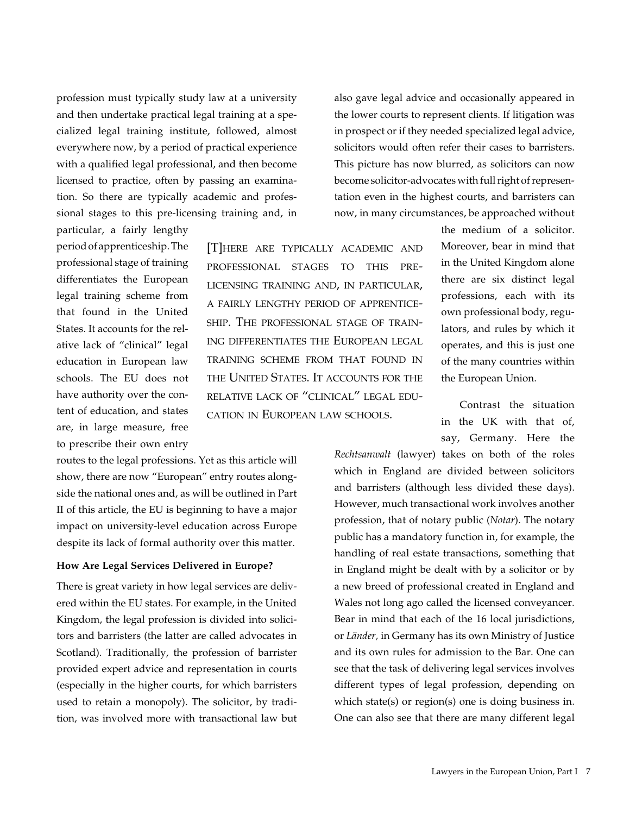profession must typically study law at a university and then undertake practical legal training at a specialized legal training institute, followed, almost everywhere now, by a period of practical experience with a qualified legal professional, and then become licensed to practice, often by passing an examination. So there are typically academic and professional stages to this pre-licensing training and, in

particular, a fairly lengthy period of apprenticeship. The professional stage of training differentiates the European legal training scheme from that found in the United States. It accounts for the relative lack of "clinical" legal education in European law schools. The EU does not have authority over the content of education, and states are, in large measure, free to prescribe their own entry

routes to the legal professions. Yet as this article will show, there are now "European" entry routes alongside the national ones and, as will be outlined in Part II of this article, the EU is beginning to have a major impact on university-level education across Europe despite its lack of formal authority over this matter.

## **How Are Legal Services Delivered in Europe?**

There is great variety in how legal services are delivered within the EU states. For example, in the United Kingdom, the legal profession is divided into solicitors and barristers (the latter are called advocates in Scotland). Traditionally, the profession of barrister provided expert advice and representation in courts (especially in the higher courts, for which barristers used to retain a monopoly). The solicitor, by tradition, was involved more with transactional law but

also gave legal advice and occasionally appeared in the lower courts to represent clients. If litigation was in prospect or if they needed specialized legal advice, solicitors would often refer their cases to barristers. This picture has now blurred, as solicitors can now become solicitor-advocates with full right of representation even in the highest courts, and barristers can now, in many circumstances, be approached without

[T]here are typically academic and professional stages to this prelicensing training and, in particular, a fairly lengthy period of apprenticeship. The professional stage of training differentiates the European legal training scheme from that found in the United States. It accounts for the relative lack of "clinical" legal education in European law schools.

the medium of a solicitor. Moreover, bear in mind that in the United Kingdom alone there are six distinct legal professions, each with its own professional body, regulators, and rules by which it operates, and this is just one of the many countries within the European Union.

Contrast the situation in the UK with that of, say, Germany. Here the

*Rechtsanwalt* (lawyer) takes on both of the roles which in England are divided between solicitors and barristers (although less divided these days). However, much transactional work involves another profession, that of notary public (*Notar*). The notary public has a mandatory function in, for example, the handling of real estate transactions, something that in England might be dealt with by a solicitor or by a new breed of professional created in England and Wales not long ago called the licensed conveyancer. Bear in mind that each of the 16 local jurisdictions, or *Länder,* in Germany has its own Ministry of Justice and its own rules for admission to the Bar. One can see that the task of delivering legal services involves different types of legal profession, depending on which state(s) or region(s) one is doing business in. One can also see that there are many different legal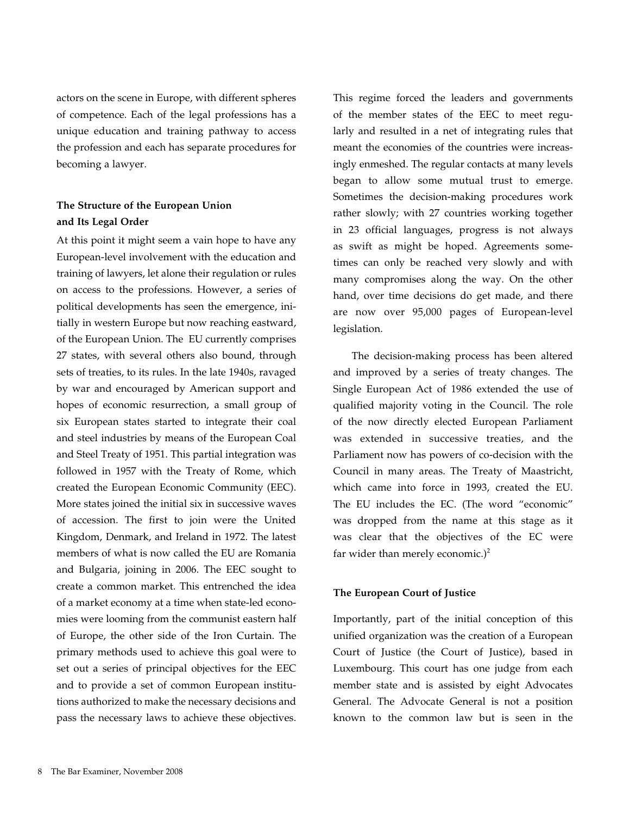actors on the scene in Europe, with different spheres of competence. Each of the legal professions has a unique education and training pathway to access the profession and each has separate procedures for becoming a lawyer.

# **The Structure of the European Union and Its Legal Order**

At this point it might seem a vain hope to have any European-level involvement with the education and training of lawyers, let alone their regulation or rules on access to the professions. However, a series of political developments has seen the emergence, initially in western Europe but now reaching eastward, of the European Union. The EU currently comprises 27 states, with several others also bound, through sets of treaties, to its rules. In the late 1940s, ravaged by war and encouraged by American support and hopes of economic resurrection, a small group of six European states started to integrate their coal and steel industries by means of the European Coal and Steel Treaty of 1951. This partial integration was followed in 1957 with the Treaty of Rome, which created the European Economic Community (EEC). More states joined the initial six in successive waves of accession. The first to join were the United Kingdom, Denmark, and Ireland in 1972. The latest members of what is now called the EU are Romania and Bulgaria, joining in 2006. The EEC sought to create a common market. This entrenched the idea of a market economy at a time when state-led economies were looming from the communist eastern half of Europe, the other side of the Iron Curtain. The primary methods used to achieve this goal were to set out a series of principal objectives for the EEC and to provide a set of common European institutions authorized to make the necessary decisions and pass the necessary laws to achieve these objectives.

This regime forced the leaders and governments of the member states of the EEC to meet regularly and resulted in a net of integrating rules that meant the economies of the countries were increasingly enmeshed. The regular contacts at many levels began to allow some mutual trust to emerge. Sometimes the decision-making procedures work rather slowly; with 27 countries working together in 23 official languages, progress is not always as swift as might be hoped. Agreements sometimes can only be reached very slowly and with many compromises along the way. On the other hand, over time decisions do get made, and there are now over 95,000 pages of European-level legislation.

The decision-making process has been altered and improved by a series of treaty changes. The Single European Act of 1986 extended the use of qualified majority voting in the Council. The role of the now directly elected European Parliament was extended in successive treaties, and the Parliament now has powers of co-decision with the Council in many areas. The Treaty of Maastricht, which came into force in 1993, created the EU. The EU includes the EC. (The word "economic" was dropped from the name at this stage as it was clear that the objectives of the EC were far wider than merely economic.)<sup>2</sup>

#### **The European Court of Justice**

Importantly, part of the initial conception of this unified organization was the creation of a European Court of Justice (the Court of Justice), based in Luxembourg. This court has one judge from each member state and is assisted by eight Advocates General. The Advocate General is not a position known to the common law but is seen in the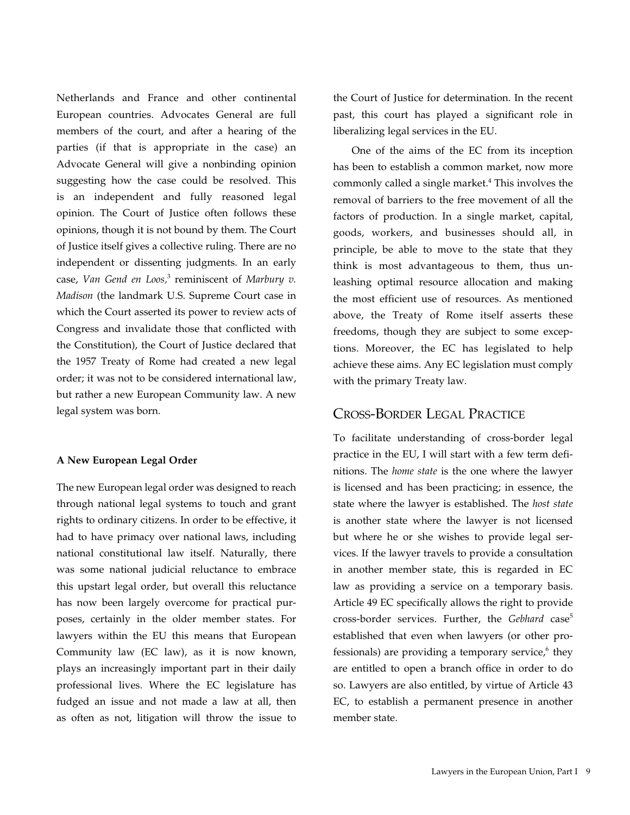Netherlands and France and other continental European countries. Advocates General are full members of the court, and after a hearing of the parties (if that is appropriate in the case) an Advocate General will give a nonbinding opinion suggesting how the case could be resolved. This is an independent and fully reasoned legal opinion. The Court of Justice often follows these opinions, though it is not bound by them. The Court of Justice itself gives a collective ruling. There are no independent or dissenting judgments. In an early case, Van Gend en Loos,<sup>3</sup> reminiscent of Marbury v. *Madison* (the landmark U.S. Supreme Court case in which the Court asserted its power to review acts of Congress and invalidate those that conflicted with the Constitution), the Court of Justice declared that the 1957 Treaty of Rome had created a new legal order; it was not to be considered international law, but rather a new European Community law. A new legal system was born.

#### **A New European Legal Order**

The new European legal order was designed to reach through national legal systems to touch and grant rights to ordinary citizens. In order to be effective, it had to have primacy over national laws, including national constitutional law itself. Naturally, there was some national judicial reluctance to embrace this upstart legal order, but overall this reluctance has now been largely overcome for practical purposes, certainly in the older member states. For lawyers within the EU this means that European Community law (EC law), as it is now known, plays an increasingly important part in their daily professional lives. Where the EC legislature has fudged an issue and not made a law at all, then as often as not, litigation will throw the issue to the Court of Justice for determination. In the recent past, this court has played a significant role in liberalizing legal services in the EU.

One of the aims of the EC from its inception has been to establish a common market, now more commonly called a single market.<sup>4</sup> This involves the removal of barriers to the free movement of all the factors of production. In a single market, capital, goods, workers, and businesses should all, in principle, be able to move to the state that they think is most advantageous to them, thus unleashing optimal resource allocation and making the most efficient use of resources. As mentioned above, the Treaty of Rome itself asserts these freedoms, though they are subject to some exceptions. Moreover, the EC has legislated to help achieve these aims. Any EC legislation must comply with the primary Treaty law.

# Cross-Border Legal Practice

To facilitate understanding of cross-border legal practice in the EU, I will start with a few term definitions. The *home state* is the one where the lawyer is licensed and has been practicing; in essence, the state where the lawyer is established. The *host state* is another state where the lawyer is not licensed but where he or she wishes to provide legal services. If the lawyer travels to provide a consultation in another member state, this is regarded in EC law as providing a service on a temporary basis. Article 49 EC specifically allows the right to provide cross-border services. Further, the *Gebhard* case<sup>5</sup> established that even when lawyers (or other professionals) are providing a temporary service, $6$  they are entitled to open a branch office in order to do so. Lawyers are also entitled, by virtue of Article 43 EC, to establish a permanent presence in another member state.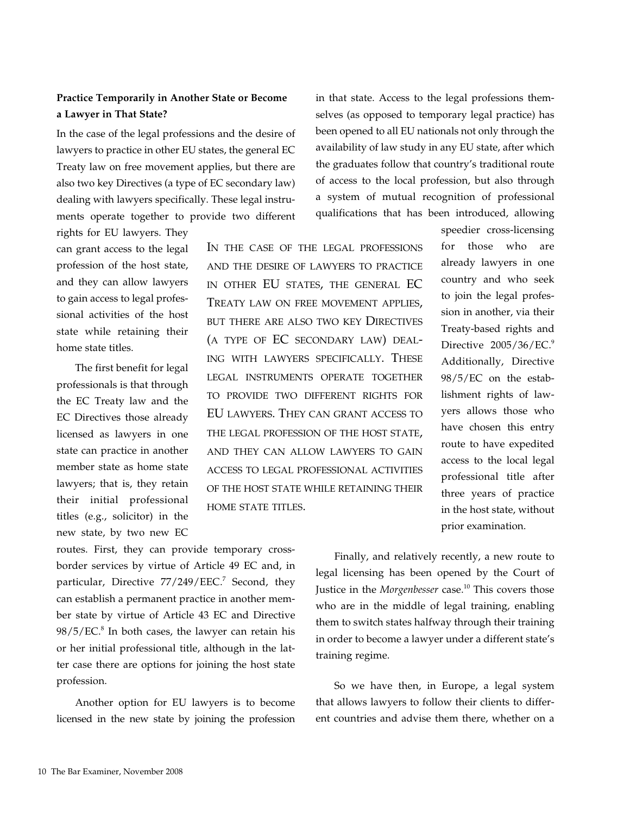# **Practice Temporarily in Another State or Become a Lawyer in That State?**

In the case of the legal professions and the desire of lawyers to practice in other EU states, the general EC Treaty law on free movement applies, but there are also two key Directives (a type of EC secondary law) dealing with lawyers specifically. These legal instruments operate together to provide two different

rights for EU lawyers. They can grant access to the legal profession of the host state, and they can allow lawyers to gain access to legal professional activities of the host state while retaining their home state titles.

The first benefit for legal professionals is that through the EC Treaty law and the EC Directives those already licensed as lawyers in one state can practice in another member state as home state lawyers; that is, they retain their initial professional titles (e.g., solicitor) in the new state, by two new EC

In the case of the legal professions and the desire of lawyers to practice in other EU states, the general EC Treaty law on free movement applies, but there are also two key Directives (a type of EC secondary law) dealing with lawyers specifically. These legal instruments operate together to provide two different rights for EU lawyers. They can grant access to THE LEGAL PROFESSION OF THE HOST STATE, and they can allow lawyers to gain access to legal professional activities of the host state while retaining their home state titles.

in that state. Access to the legal professions themselves (as opposed to temporary legal practice) has been opened to all EU nationals not only through the availability of law study in any EU state, after which the graduates follow that country's traditional route of access to the local profession, but also through a system of mutual recognition of professional qualifications that has been introduced, allowing

> speedier cross-licensing for those who are already lawyers in one country and who seek to join the legal profession in another, via their Treaty-based rights and Directive  $2005/36/EC.^9$ Additionally, Directive 98/5/EC on the establishment rights of lawyers allows those who have chosen this entry route to have expedited access to the local legal professional title after three years of practice in the host state, without prior examination.

routes. First, they can provide temporary crossborder services by virtue of Article 49 EC and, in particular, Directive  $77/249/EEC$ <sup>7</sup> Second, they can establish a permanent practice in another member state by virtue of Article 43 EC and Directive  $98/5/EC$ .<sup>8</sup> In both cases, the lawyer can retain his or her initial professional title, although in the latter case there are options for joining the host state profession.

Another option for EU lawyers is to become licensed in the new state by joining the profession

Finally, and relatively recently, a new route to legal licensing has been opened by the Court of Justice in the *Morgenbesser* case.<sup>10</sup> This covers those who are in the middle of legal training, enabling them to switch states halfway through their training in order to become a lawyer under a different state's training regime.

So we have then, in Europe, a legal system that allows lawyers to follow their clients to different countries and advise them there, whether on a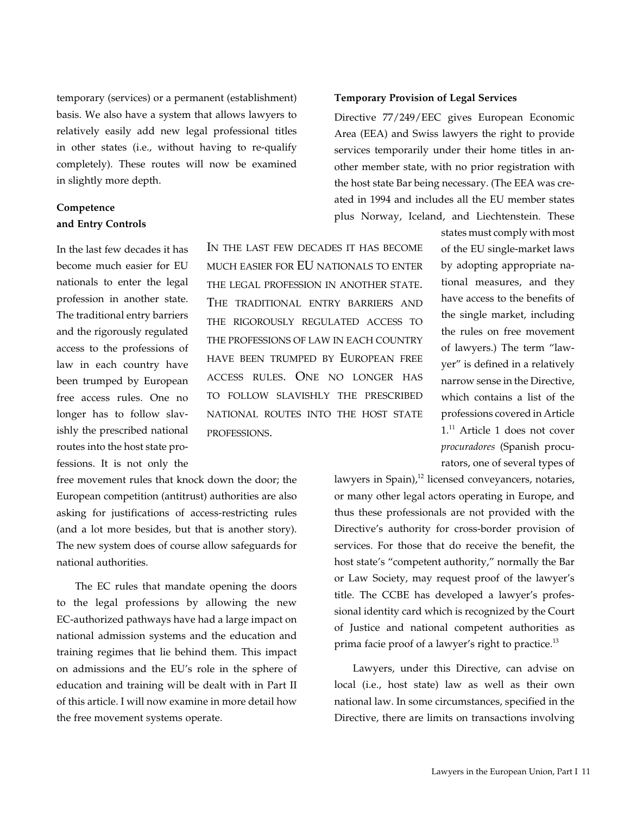temporary (services) or a permanent (establishment) basis. We also have a system that allows lawyers to relatively easily add new legal professional titles in other states (i.e., without having to re-qualify completely). These routes will now be examined in slightly more depth.

# **Competence and Entry Controls**

In the last few decades it has become much easier for EU nationals to enter the legal profession in another state. The traditional entry barriers and the rigorously regulated access to the professions of law in each country have been trumped by European free access rules. One no longer has to follow slavishly the prescribed national routes into the host state professions. It is not only the

In the last few decades it has become much easier for EU nationals to enter the legal profession in another state. The traditional entry barriers and the rigorously regulated access to the professions of law in each country have been trumped by European free access rules. One no longer has to follow slavishly the prescribed national routes into the host state professions.

free movement rules that knock down the door; the European competition (antitrust) authorities are also asking for justifications of access-restricting rules (and a lot more besides, but that is another story). The new system does of course allow safeguards for national authorities.

The EC rules that mandate opening the doors to the legal professions by allowing the new EC-authorized pathways have had a large impact on national admission systems and the education and training regimes that lie behind them. This impact on admissions and the EU's role in the sphere of education and training will be dealt with in Part II of this article. I will now examine in more detail how the free movement systems operate.

#### **Temporary Provision of Legal Services**

Directive 77/249/EEC gives European Economic Area (EEA) and Swiss lawyers the right to provide services temporarily under their home titles in another member state, with no prior registration with the host state Bar being necessary. (The EEA was created in 1994 and includes all the EU member states plus Norway, Iceland, and Liechtenstein. These

> states must comply with most of the EU single-market laws by adopting appropriate national measures, and they have access to the benefits of the single market, including the rules on free movement of lawyers.) The term "lawyer" is defined in a relatively narrow sense in the Directive, which contains a list of the professions covered in Article 1.<sup>11</sup> Article 1 does not cover *procuradores* (Spanish procurators, one of several types of

lawyers in Spain), $12$  licensed conveyancers, notaries, or many other legal actors operating in Europe, and thus these professionals are not provided with the Directive's authority for cross-border provision of services. For those that do receive the benefit, the host state's "competent authority," normally the Bar or Law Society, may request proof of the lawyer's title. The CCBE has developed a lawyer's professional identity card which is recognized by the Court of Justice and national competent authorities as prima facie proof of a lawyer's right to practice.<sup>13</sup>

Lawyers, under this Directive, can advise on local (i.e., host state) law as well as their own national law. In some circumstances, specified in the Directive, there are limits on transactions involving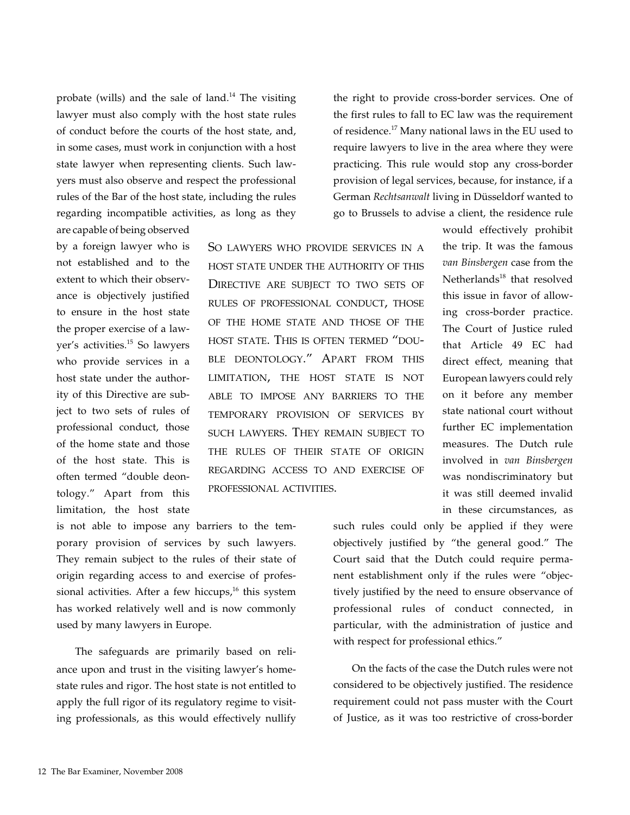probate (wills) and the sale of land. $14$  The visiting lawyer must also comply with the host state rules of conduct before the courts of the host state, and, in some cases, must work in conjunction with a host state lawyer when representing clients. Such lawyers must also observe and respect the professional rules of the Bar of the host state, including the rules regarding incompatible activities, as long as they are capable of being observed

by a foreign lawyer who is not established and to the extent to which their observance is objectively justified to ensure in the host state the proper exercise of a lawyer's activities.<sup>15</sup> So lawyers who provide services in a host state under the authority of this Directive are subject to two sets of rules of professional conduct, those of the home state and those of the host state. This is often termed "double deontology." Apart from this limitation, the host state

So lawyers who provide services in a host state under the authority of this Directive are subject to two sets of rules of professional conduct, those of the home state and those of the host state. This is often termed "double deontology." Apart from this LIMITATION, THE HOST STATE IS NOT able to impose any barriers to the temporary provision of services by such lawyers. They remain subject to the rules of their state of origin regarding access to and exercise of professional activities.

is not able to impose any barriers to the temporary provision of services by such lawyers. They remain subject to the rules of their state of origin regarding access to and exercise of professional activities. After a few hiccups, $16$  this system has worked relatively well and is now commonly used by many lawyers in Europe.

The safeguards are primarily based on reliance upon and trust in the visiting lawyer's homestate rules and rigor. The host state is not entitled to apply the full rigor of its regulatory regime to visiting professionals, as this would effectively nullify

the right to provide cross-border services. One of the first rules to fall to EC law was the requirement of residence.17 Many national laws in the EU used to require lawyers to live in the area where they were practicing. This rule would stop any cross-border provision of legal services, because, for instance, if a German *Rechtsanwalt* living in Düsseldorf wanted to go to Brussels to advise a client, the residence rule

> would effectively prohibit the trip. It was the famous *van Binsbergen* case from the Netherlands $18$  that resolved this issue in favor of allowing cross-border practice. The Court of Justice ruled that Article 49 EC had direct effect, meaning that European lawyers could rely on it before any member state national court without further EC implementation measures. The Dutch rule involved in *van Binsbergen* was nondiscriminatory but it was still deemed invalid in these circumstances, as

such rules could only be applied if they were objectively justified by "the general good." The Court said that the Dutch could require permanent establishment only if the rules were "objectively justified by the need to ensure observance of professional rules of conduct connected, in particular, with the administration of justice and with respect for professional ethics."

On the facts of the case the Dutch rules were not considered to be objectively justified. The residence requirement could not pass muster with the Court of Justice, as it was too restrictive of cross-border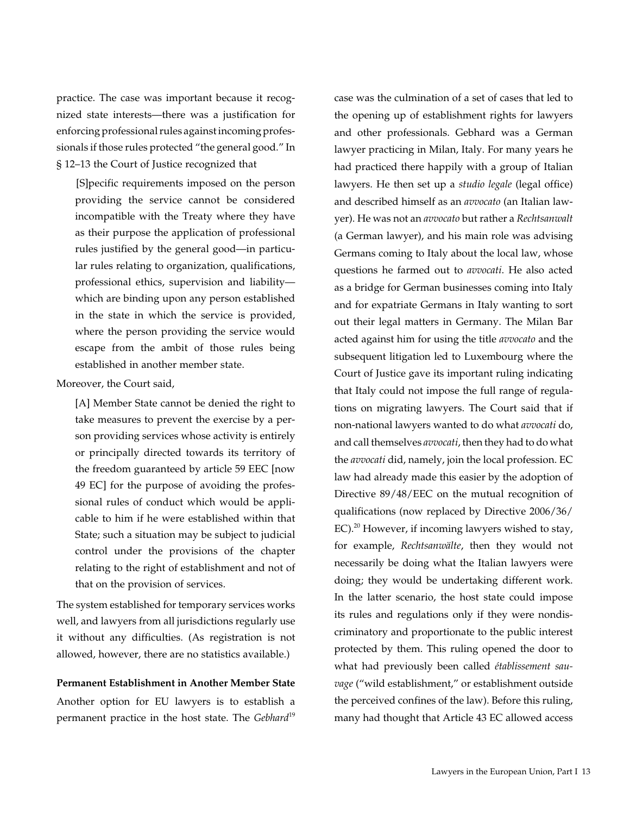practice. The case was important because it recognized state interests—there was a justification for enforcing professional rules against incoming professionals if those rules protected "the general good." In § 12–13 the Court of Justice recognized that

[S]pecific requirements imposed on the person providing the service cannot be considered incompatible with the Treaty where they have as their purpose the application of professional rules justified by the general good—in particular rules relating to organization, qualifications, professional ethics, supervision and liability which are binding upon any person established in the state in which the service is provided, where the person providing the service would escape from the ambit of those rules being established in another member state.

## Moreover, the Court said,

[A] Member State cannot be denied the right to take measures to prevent the exercise by a person providing services whose activity is entirely or principally directed towards its territory of the freedom guaranteed by article 59 EEC [now 49 EC] for the purpose of avoiding the professional rules of conduct which would be applicable to him if he were established within that State; such a situation may be subject to judicial control under the provisions of the chapter relating to the right of establishment and not of that on the provision of services.

The system established for temporary services works well, and lawyers from all jurisdictions regularly use it without any difficulties. (As registration is not allowed, however, there are no statistics available.)

## **Permanent Establishment in Another Member State**

Another option for EU lawyers is to establish a permanent practice in the host state. The *Gebhard*<sup>19</sup> case was the culmination of a set of cases that led to the opening up of establishment rights for lawyers and other professionals. Gebhard was a German lawyer practicing in Milan, Italy. For many years he had practiced there happily with a group of Italian lawyers. He then set up a *studio legale* (legal office) and described himself as an *avvocato* (an Italian lawyer). He was not an *avvocato* but rather a *Rechtsanwalt* (a German lawyer), and his main role was advising Germans coming to Italy about the local law, whose questions he farmed out to *avvocati*. He also acted as a bridge for German businesses coming into Italy and for expatriate Germans in Italy wanting to sort out their legal matters in Germany. The Milan Bar acted against him for using the title *avvocato* and the subsequent litigation led to Luxembourg where the Court of Justice gave its important ruling indicating that Italy could not impose the full range of regulations on migrating lawyers. The Court said that if non-national lawyers wanted to do what *avvocati* do, and call themselves *avvocati*, then they had to do what the *avvocati* did, namely, join the local profession. EC law had already made this easier by the adoption of Directive 89/48/EEC on the mutual recognition of qualifications (now replaced by Directive 2006/36/ EC).<sup>20</sup> However, if incoming lawyers wished to stay, for example, *Rechtsanwälte*, then they would not necessarily be doing what the Italian lawyers were doing; they would be undertaking different work. In the latter scenario, the host state could impose its rules and regulations only if they were nondiscriminatory and proportionate to the public interest protected by them. This ruling opened the door to what had previously been called *établissement sauvage* ("wild establishment," or establishment outside the perceived confines of the law). Before this ruling, many had thought that Article 43 EC allowed access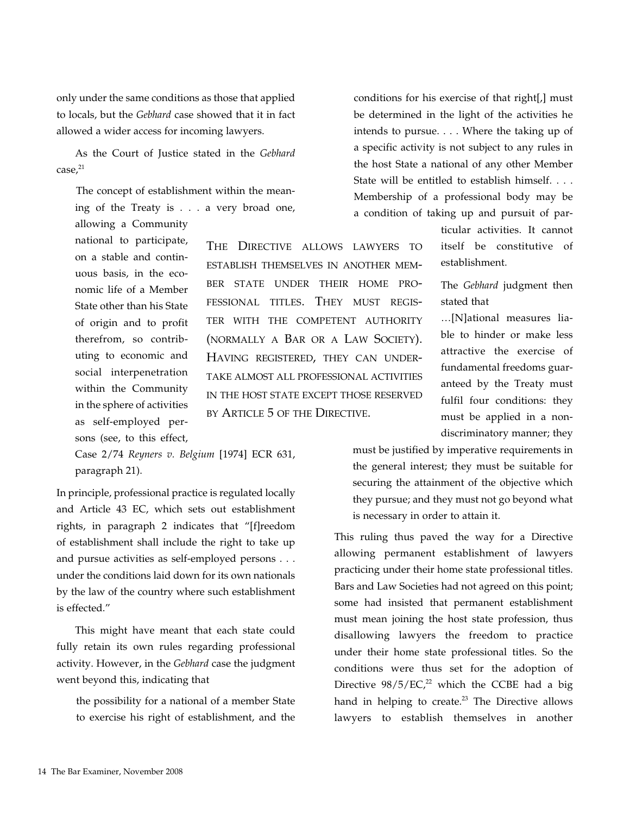only under the same conditions as those that applied to locals, but the *Gebhard* case showed that it in fact allowed a wider access for incoming lawyers.

As the Court of Justice stated in the *Gebhard*  case,<sup>21</sup>

The concept of establishment within the meaning of the Treaty is . . . a very broad one,

allowing a Community national to participate, on a stable and continuous basis, in the economic life of a Member State other than his State of origin and to profit therefrom, so contributing to economic and social interpenetration within the Community in the sphere of activities as self-employed persons (see, to this effect,

The Directive allows lawyers to establish themselves in another member state under their home professional titles. They must register with the competent authority (normally a Bar or a Law Society). Having registered, they can undertake almost all professional activities in the host state except those reserved by Article 5 of the DIRECTIVE.

Case 2/74 *Reyners v. Belgium* [1974] ECR 631, paragraph 21).

In principle, professional practice is regulated locally and Article 43 EC, which sets out establishment rights, in paragraph 2 indicates that "[f]reedom of establishment shall include the right to take up and pursue activities as self-employed persons . . . under the conditions laid down for its own nationals by the law of the country where such establishment is effected."

This might have meant that each state could fully retain its own rules regarding professional activity. However, in the *Gebhard* case the judgment went beyond this, indicating that

the possibility for a national of a member State to exercise his right of establishment, and the

conditions for his exercise of that right[,] must be determined in the light of the activities he intends to pursue. . . . Where the taking up of a specific activity is not subject to any rules in the host State a national of any other Member State will be entitled to establish himself. . . . Membership of a professional body may be a condition of taking up and pursuit of par-

> ticular activities. It cannot itself be constitutive of establishment.

> The *Gebhard* judgment then stated that

> …[N]ational measures liable to hinder or make less attractive the exercise of fundamental freedoms guaranteed by the Treaty must fulfil four conditions: they must be applied in a nondiscriminatory manner; they

must be justified by imperative requirements in the general interest; they must be suitable for securing the attainment of the objective which they pursue; and they must not go beyond what is necessary in order to attain it.

This ruling thus paved the way for a Directive allowing permanent establishment of lawyers practicing under their home state professional titles. Bars and Law Societies had not agreed on this point; some had insisted that permanent establishment must mean joining the host state profession, thus disallowing lawyers the freedom to practice under their home state professional titles. So the conditions were thus set for the adoption of Directive  $98/5/EC<sub>1</sub><sup>22</sup>$  which the CCBE had a big hand in helping to create. $23$  The Directive allows lawyers to establish themselves in another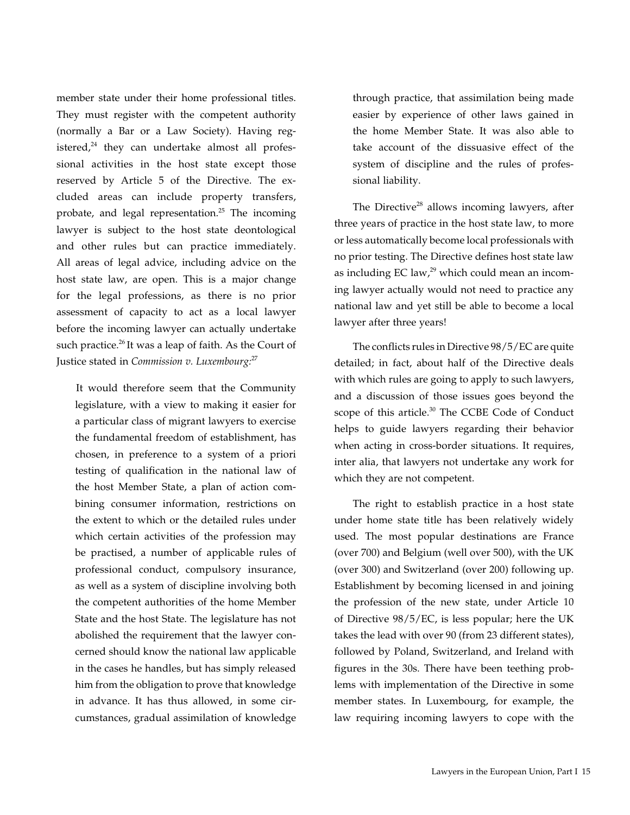member state under their home professional titles. They must register with the competent authority (normally a Bar or a Law Society). Having registered, $24$  they can undertake almost all professional activities in the host state except those reserved by Article 5 of the Directive. The excluded areas can include property transfers, probate, and legal representation.<sup>25</sup> The incoming lawyer is subject to the host state deontological and other rules but can practice immediately. All areas of legal advice, including advice on the host state law, are open. This is a major change for the legal professions, as there is no prior assessment of capacity to act as a local lawyer before the incoming lawyer can actually undertake such practice.<sup>26</sup> It was a leap of faith. As the Court of Justice stated in *Commission v. Luxembourg:*<sup>27</sup>

It would therefore seem that the Community legislature, with a view to making it easier for a particular class of migrant lawyers to exercise the fundamental freedom of establishment, has chosen, in preference to a system of a priori testing of qualification in the national law of the host Member State, a plan of action combining consumer information, restrictions on the extent to which or the detailed rules under which certain activities of the profession may be practised, a number of applicable rules of professional conduct, compulsory insurance, as well as a system of discipline involving both the competent authorities of the home Member State and the host State. The legislature has not abolished the requirement that the lawyer concerned should know the national law applicable in the cases he handles, but has simply released him from the obligation to prove that knowledge in advance. It has thus allowed, in some circumstances, gradual assimilation of knowledge through practice, that assimilation being made easier by experience of other laws gained in the home Member State. It was also able to take account of the dissuasive effect of the system of discipline and the rules of professional liability.

The Directive<sup>28</sup> allows incoming lawyers, after three years of practice in the host state law, to more or less automatically become local professionals with no prior testing. The Directive defines host state law as including EC law, $^{29}$  which could mean an incoming lawyer actually would not need to practice any national law and yet still be able to become a local lawyer after three years!

The conflicts rules in Directive 98/5/EC are quite detailed; in fact, about half of the Directive deals with which rules are going to apply to such lawyers, and a discussion of those issues goes beyond the scope of this article.<sup>30</sup> The CCBE Code of Conduct helps to guide lawyers regarding their behavior when acting in cross-border situations. It requires, inter alia, that lawyers not undertake any work for which they are not competent.

The right to establish practice in a host state under home state title has been relatively widely used. The most popular destinations are France (over 700) and Belgium (well over 500), with the UK (over 300) and Switzerland (over 200) following up. Establishment by becoming licensed in and joining the profession of the new state, under Article 10 of Directive 98/5/EC, is less popular; here the UK takes the lead with over 90 (from 23 different states), followed by Poland, Switzerland, and Ireland with figures in the 30s. There have been teething problems with implementation of the Directive in some member states. In Luxembourg, for example, the law requiring incoming lawyers to cope with the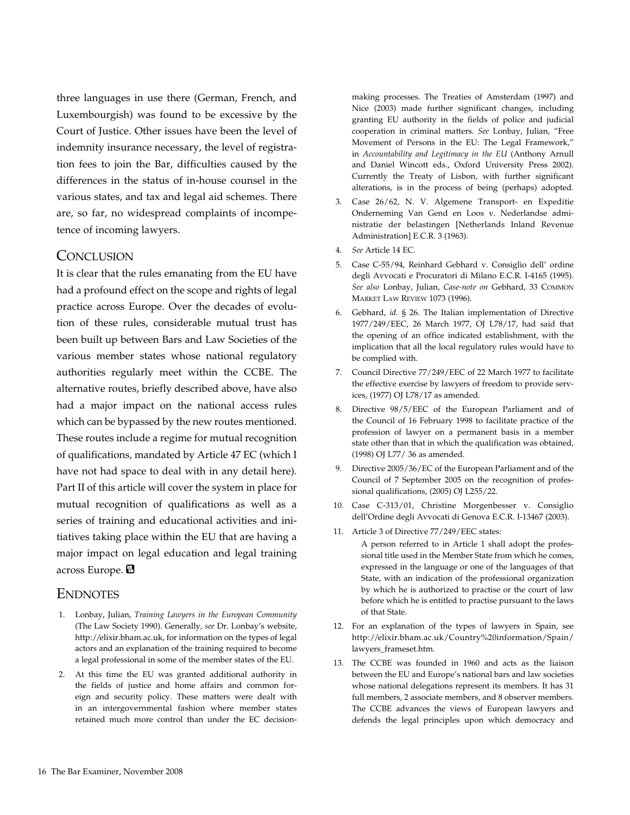three languages in use there (German, French, and Luxembourgish) was found to be excessive by the Court of Justice. Other issues have been the level of indemnity insurance necessary, the level of registration fees to join the Bar, difficulties caused by the differences in the status of in-house counsel in the various states, and tax and legal aid schemes. There are, so far, no widespread complaints of incompetence of incoming lawyers.

## **CONCLUSION**

It is clear that the rules emanating from the EU have had a profound effect on the scope and rights of legal practice across Europe. Over the decades of evolution of these rules, considerable mutual trust has been built up between Bars and Law Societies of the various member states whose national regulatory authorities regularly meet within the CCBE. The alternative routes, briefly described above, have also had a major impact on the national access rules which can be bypassed by the new routes mentioned. These routes include a regime for mutual recognition of qualifications, mandated by Article 47 EC (which I have not had space to deal with in any detail here). Part II of this article will cover the system in place for mutual recognition of qualifications as well as a series of training and educational activities and initiatives taking place within the EU that are having a major impact on legal education and legal training across Europe. 圖

## **ENDNOTES**

- 1. Lonbay, Julian, *Training Lawyers in the European Community* (The Law Society 1990). Generally, *see* Dr. Lonbay's website, http://elixir.bham.ac.uk, for information on the types of legal actors and an explanation of the training required to become a legal professional in some of the member states of the EU.
- 2. At this time the EU was granted additional authority in the fields of justice and home affairs and common foreign and security policy. These matters were dealt with in an intergovernmental fashion where member states retained much more control than under the EC decision-

making processes. The Treaties of Amsterdam (1997) and Nice (2003) made further significant changes, including granting EU authority in the fields of police and judicial cooperation in criminal matters. *See* Lonbay, Julian, "Free Movement of Persons in the EU: The Legal Framework," in *Accountability and Legitimacy in the EU* (Anthony Arnull and Daniel Wincott eds., Oxford University Press 2002). Currently the Treaty of Lisbon, with further significant alterations, is in the process of being (perhaps) adopted.

- 3. Case 26/62, N. V. Algemene Transport- en Expeditie Onderneming Van Gend en Loos v. Nederlandse administratie der belastingen [Netherlands Inland Revenue Administration] E.C.R. 3 (1963).
- 4. *See* Article 14 EC.
- 5. Case C-55/94, Reinhard Gebhard v. Consiglio dell' ordine degli Avvocati e Procuratori di Milano E.C.R. I-4165 (1995). *See also* Lonbay, Julian, *Case-note on* Gebhard, 33 Common Market Law Review 1073 (1996).
- 6. Gebhard, *id.* § 26. The Italian implementation of Directive 1977/249/EEC, 26 March 1977, OJ L78/17, had said that the opening of an office indicated establishment, with the implication that all the local regulatory rules would have to be complied with.
- 7. Council Directive 77/249/EEC of 22 March 1977 to facilitate the effective exercise by lawyers of freedom to provide services, (1977) OJ L78/17 as amended.
- 8. Directive 98/5/EEC of the European Parliament and of the Council of 16 February 1998 to facilitate practice of the profession of lawyer on a permanent basis in a member state other than that in which the qualification was obtained, (1998) OJ L77/ 36 as amended.
- 9. Directive 2005/36/EC of the European Parliament and of the Council of 7 September 2005 on the recognition of professional qualifications, (2005) OJ L255/22.
- 10. Case C-313/01, Christine Morgenbesser v. Consiglio dell'Ordine degli Avvocati di Genova E.C.R. I-13467 (2003).
- 11. Article 3 of Directive 77/249/EEC states:

A person referred to in Article 1 shall adopt the professional title used in the Member State from which he comes, expressed in the language or one of the languages of that State, with an indication of the professional organization by which he is authorized to practise or the court of law before which he is entitled to practise pursuant to the laws of that State.

- 12. For an explanation of the types of lawyers in Spain, see http://elixir.bham.ac.uk/Country%20information/Spain/ lawyers\_frameset.htm.
- 13. The CCBE was founded in 1960 and acts as the liaison between the EU and Europe's national bars and law societies whose national delegations represent its members. It has 31 full members, 2 associate members, and 8 observer members. The CCBE advances the views of European lawyers and defends the legal principles upon which democracy and